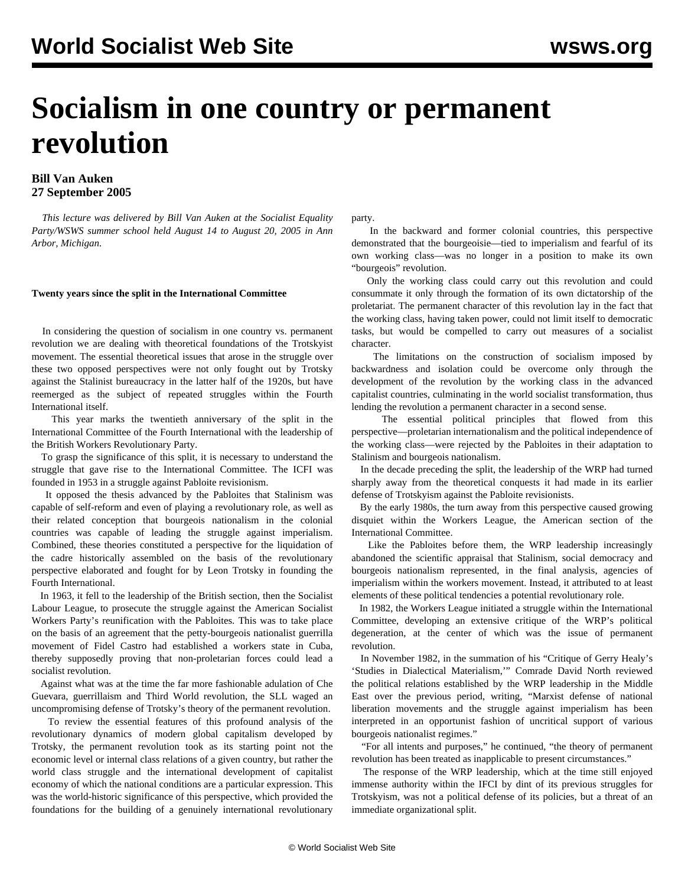# **Socialism in one country or permanent revolution**

# **Bill Van Auken 27 September 2005**

 *This lecture was delivered by Bill Van Auken at the Socialist Equality Party/WSWS summer school held August 14 to August 20, 2005 in Ann Arbor, Michigan.*

## **Twenty years since the split in the International Committee**

 In considering the question of socialism in one country vs. permanent revolution we are dealing with theoretical foundations of the Trotskyist movement. The essential theoretical issues that arose in the struggle over these two opposed perspectives were not only fought out by Trotsky against the Stalinist bureaucracy in the latter half of the 1920s, but have reemerged as the subject of repeated struggles within the Fourth International itself.

 This year marks the twentieth anniversary of the split in the International Committee of the Fourth International with the leadership of the British Workers Revolutionary Party.

 To grasp the significance of this split, it is necessary to understand the struggle that gave rise to the International Committee. The ICFI was founded in 1953 in a struggle against Pabloite revisionism.

 It opposed the thesis advanced by the Pabloites that Stalinism was capable of self-reform and even of playing a revolutionary role, as well as their related conception that bourgeois nationalism in the colonial countries was capable of leading the struggle against imperialism. Combined, these theories constituted a perspective for the liquidation of the cadre historically assembled on the basis of the revolutionary perspective elaborated and fought for by Leon Trotsky in founding the Fourth International.

 In 1963, it fell to the leadership of the British section, then the Socialist Labour League, to prosecute the struggle against the American Socialist Workers Party's reunification with the Pabloites. This was to take place on the basis of an agreement that the petty-bourgeois nationalist guerrilla movement of Fidel Castro had established a workers state in Cuba, thereby supposedly proving that non-proletarian forces could lead a socialist revolution.

 Against what was at the time the far more fashionable adulation of Che Guevara, guerrillaism and Third World revolution, the SLL waged an uncompromising defense of Trotsky's theory of the permanent revolution.

 To review the essential features of this profound analysis of the revolutionary dynamics of modern global capitalism developed by Trotsky, the permanent revolution took as its starting point not the economic level or internal class relations of a given country, but rather the world class struggle and the international development of capitalist economy of which the national conditions are a particular expression. This was the world-historic significance of this perspective, which provided the foundations for the building of a genuinely international revolutionary

party.

 In the backward and former colonial countries, this perspective demonstrated that the bourgeoisie—tied to imperialism and fearful of its own working class—was no longer in a position to make its own "bourgeois" revolution.

 Only the working class could carry out this revolution and could consummate it only through the formation of its own dictatorship of the proletariat. The permanent character of this revolution lay in the fact that the working class, having taken power, could not limit itself to democratic tasks, but would be compelled to carry out measures of a socialist character.

 The limitations on the construction of socialism imposed by backwardness and isolation could be overcome only through the development of the revolution by the working class in the advanced capitalist countries, culminating in the world socialist transformation, thus lending the revolution a permanent character in a second sense.

 The essential political principles that flowed from this perspective—proletarian internationalism and the political independence of the working class—were rejected by the Pabloites in their adaptation to Stalinism and bourgeois nationalism.

 In the decade preceding the split, the leadership of the WRP had turned sharply away from the theoretical conquests it had made in its earlier defense of Trotskyism against the Pabloite revisionists.

 By the early 1980s, the turn away from this perspective caused growing disquiet within the Workers League, the American section of the International Committee.

 Like the Pabloites before them, the WRP leadership increasingly abandoned the scientific appraisal that Stalinism, social democracy and bourgeois nationalism represented, in the final analysis, agencies of imperialism within the workers movement. Instead, it attributed to at least elements of these political tendencies a potential revolutionary role.

 In 1982, the Workers League initiated a struggle within the International Committee, developing an extensive critique of the WRP's political degeneration, at the center of which was the issue of permanent revolution.

 In November 1982, in the summation of his "Critique of Gerry Healy's 'Studies in Dialectical Materialism,'" Comrade David North reviewed the political relations established by the WRP leadership in the Middle East over the previous period, writing, "Marxist defense of national liberation movements and the struggle against imperialism has been interpreted in an opportunist fashion of uncritical support of various bourgeois nationalist regimes."

 "For all intents and purposes," he continued, "the theory of permanent revolution has been treated as inapplicable to present circumstances."

 The response of the WRP leadership, which at the time still enjoyed immense authority within the IFCI by dint of its previous struggles for Trotskyism, was not a political defense of its policies, but a threat of an immediate organizational split.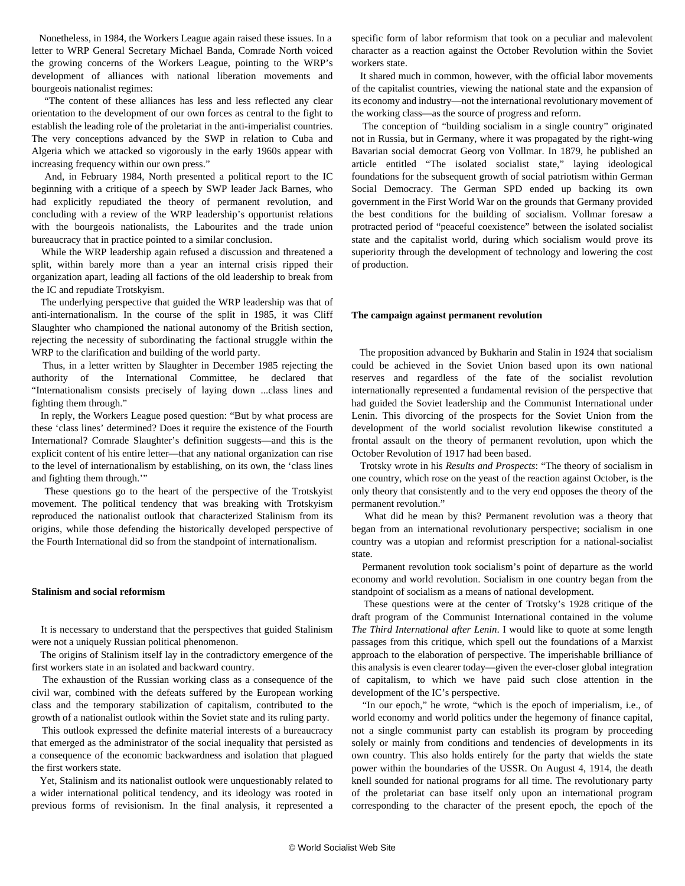Nonetheless, in 1984, the Workers League again raised these issues. In a letter to WRP General Secretary Michael Banda, Comrade North voiced the growing concerns of the Workers League, pointing to the WRP's development of alliances with national liberation movements and bourgeois nationalist regimes:

 "The content of these alliances has less and less reflected any clear orientation to the development of our own forces as central to the fight to establish the leading role of the proletariat in the anti-imperialist countries. The very conceptions advanced by the SWP in relation to Cuba and Algeria which we attacked so vigorously in the early 1960s appear with increasing frequency within our own press."

 And, in February 1984, North presented a political report to the IC beginning with a critique of a speech by SWP leader Jack Barnes, who had explicitly repudiated the theory of permanent revolution, and concluding with a review of the WRP leadership's opportunist relations with the bourgeois nationalists, the Labourites and the trade union bureaucracy that in practice pointed to a similar conclusion.

 While the WRP leadership again refused a discussion and threatened a split, within barely more than a year an internal crisis ripped their organization apart, leading all factions of the old leadership to break from the IC and repudiate Trotskyism.

 The underlying perspective that guided the WRP leadership was that of anti-internationalism. In the course of the split in 1985, it was Cliff Slaughter who championed the national autonomy of the British section, rejecting the necessity of subordinating the factional struggle within the WRP to the clarification and building of the world party.

 Thus, in a letter written by Slaughter in December 1985 rejecting the authority of the International Committee, he declared that "Internationalism consists precisely of laying down ...class lines and fighting them through."

 In reply, the Workers League posed question: "But by what process are these 'class lines' determined? Does it require the existence of the Fourth International? Comrade Slaughter's definition suggests—and this is the explicit content of his entire letter—that any national organization can rise to the level of internationalism by establishing, on its own, the 'class lines and fighting them through.'"

 These questions go to the heart of the perspective of the Trotskyist movement. The political tendency that was breaking with Trotskyism reproduced the nationalist outlook that characterized Stalinism from its origins, while those defending the historically developed perspective of the Fourth International did so from the standpoint of internationalism.

#### **Stalinism and social reformism**

 It is necessary to understand that the perspectives that guided Stalinism were not a uniquely Russian political phenomenon.

 The origins of Stalinism itself lay in the contradictory emergence of the first workers state in an isolated and backward country.

 The exhaustion of the Russian working class as a consequence of the civil war, combined with the defeats suffered by the European working class and the temporary stabilization of capitalism, contributed to the growth of a nationalist outlook within the Soviet state and its ruling party.

 This outlook expressed the definite material interests of a bureaucracy that emerged as the administrator of the social inequality that persisted as a consequence of the economic backwardness and isolation that plagued the first workers state.

 Yet, Stalinism and its nationalist outlook were unquestionably related to a wider international political tendency, and its ideology was rooted in previous forms of revisionism. In the final analysis, it represented a

specific form of labor reformism that took on a peculiar and malevolent character as a reaction against the October Revolution within the Soviet workers state.

 It shared much in common, however, with the official labor movements of the capitalist countries, viewing the national state and the expansion of its economy and industry—not the international revolutionary movement of the working class—as the source of progress and reform.

 The conception of "building socialism in a single country" originated not in Russia, but in Germany, where it was propagated by the right-wing Bavarian social democrat Georg von Vollmar. In 1879, he published an article entitled "The isolated socialist state," laying ideological foundations for the subsequent growth of social patriotism within German Social Democracy. The German SPD ended up backing its own government in the First World War on the grounds that Germany provided the best conditions for the building of socialism. Vollmar foresaw a protracted period of "peaceful coexistence" between the isolated socialist state and the capitalist world, during which socialism would prove its superiority through the development of technology and lowering the cost of production.

#### **The campaign against permanent revolution**

 The proposition advanced by Bukharin and Stalin in 1924 that socialism could be achieved in the Soviet Union based upon its own national reserves and regardless of the fate of the socialist revolution internationally represented a fundamental revision of the perspective that had guided the Soviet leadership and the Communist International under Lenin. This divorcing of the prospects for the Soviet Union from the development of the world socialist revolution likewise constituted a frontal assault on the theory of permanent revolution, upon which the October Revolution of 1917 had been based.

 Trotsky wrote in his *Results and Prospects*: "The theory of socialism in one country, which rose on the yeast of the reaction against October, is the only theory that consistently and to the very end opposes the theory of the permanent revolution."

 What did he mean by this? Permanent revolution was a theory that began from an international revolutionary perspective; socialism in one country was a utopian and reformist prescription for a national-socialist state.

 Permanent revolution took socialism's point of departure as the world economy and world revolution. Socialism in one country began from the standpoint of socialism as a means of national development.

 These questions were at the center of Trotsky's 1928 critique of the draft program of the Communist International contained in the volume *The Third International after Lenin*. I would like to quote at some length passages from this critique, which spell out the foundations of a Marxist approach to the elaboration of perspective. The imperishable brilliance of this analysis is even clearer today—given the ever-closer global integration of capitalism, to which we have paid such close attention in the development of the IC's perspective.

 "In our epoch," he wrote, "which is the epoch of imperialism, i.e., of world economy and world politics under the hegemony of finance capital, not a single communist party can establish its program by proceeding solely or mainly from conditions and tendencies of developments in its own country. This also holds entirely for the party that wields the state power within the boundaries of the USSR. On August 4, 1914, the death knell sounded for national programs for all time. The revolutionary party of the proletariat can base itself only upon an international program corresponding to the character of the present epoch, the epoch of the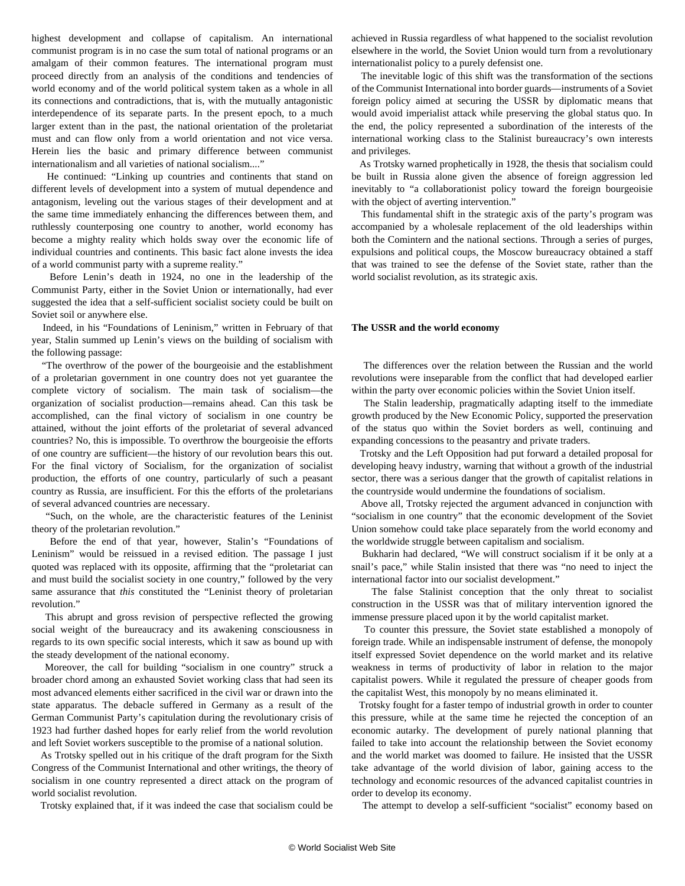highest development and collapse of capitalism. An international communist program is in no case the sum total of national programs or an amalgam of their common features. The international program must proceed directly from an analysis of the conditions and tendencies of world economy and of the world political system taken as a whole in all its connections and contradictions, that is, with the mutually antagonistic interdependence of its separate parts. In the present epoch, to a much larger extent than in the past, the national orientation of the proletariat must and can flow only from a world orientation and not vice versa. Herein lies the basic and primary difference between communist internationalism and all varieties of national socialism...."

 He continued: "Linking up countries and continents that stand on different levels of development into a system of mutual dependence and antagonism, leveling out the various stages of their development and at the same time immediately enhancing the differences between them, and ruthlessly counterposing one country to another, world economy has become a mighty reality which holds sway over the economic life of individual countries and continents. This basic fact alone invests the idea of a world communist party with a supreme reality."

 Before Lenin's death in 1924, no one in the leadership of the Communist Party, either in the Soviet Union or internationally, had ever suggested the idea that a self-sufficient socialist society could be built on Soviet soil or anywhere else.

 Indeed, in his "Foundations of Leninism," written in February of that year, Stalin summed up Lenin's views on the building of socialism with the following passage:

 "The overthrow of the power of the bourgeoisie and the establishment of a proletarian government in one country does not yet guarantee the complete victory of socialism. The main task of socialism—the organization of socialist production—remains ahead. Can this task be accomplished, can the final victory of socialism in one country be attained, without the joint efforts of the proletariat of several advanced countries? No, this is impossible. To overthrow the bourgeoisie the efforts of one country are sufficient—the history of our revolution bears this out. For the final victory of Socialism, for the organization of socialist production, the efforts of one country, particularly of such a peasant country as Russia, are insufficient. For this the efforts of the proletarians of several advanced countries are necessary.

 "Such, on the whole, are the characteristic features of the Leninist theory of the proletarian revolution."

 Before the end of that year, however, Stalin's "Foundations of Leninism" would be reissued in a revised edition. The passage I just quoted was replaced with its opposite, affirming that the "proletariat can and must build the socialist society in one country," followed by the very same assurance that *this* constituted the "Leninist theory of proletarian revolution."

 This abrupt and gross revision of perspective reflected the growing social weight of the bureaucracy and its awakening consciousness in regards to its own specific social interests, which it saw as bound up with the steady development of the national economy.

 Moreover, the call for building "socialism in one country" struck a broader chord among an exhausted Soviet working class that had seen its most advanced elements either sacrificed in the civil war or drawn into the state apparatus. The debacle suffered in Germany as a result of the German Communist Party's capitulation during the revolutionary crisis of 1923 had further dashed hopes for early relief from the world revolution and left Soviet workers susceptible to the promise of a national solution.

 As Trotsky spelled out in his critique of the draft program for the Sixth Congress of the Communist International and other writings, the theory of socialism in one country represented a direct attack on the program of world socialist revolution.

Trotsky explained that, if it was indeed the case that socialism could be

achieved in Russia regardless of what happened to the socialist revolution elsewhere in the world, the Soviet Union would turn from a revolutionary internationalist policy to a purely defensist one.

 The inevitable logic of this shift was the transformation of the sections of the Communist International into border guards—instruments of a Soviet foreign policy aimed at securing the USSR by diplomatic means that would avoid imperialist attack while preserving the global status quo. In the end, the policy represented a subordination of the interests of the international working class to the Stalinist bureaucracy's own interests and privileges.

 As Trotsky warned prophetically in 1928, the thesis that socialism could be built in Russia alone given the absence of foreign aggression led inevitably to "a collaborationist policy toward the foreign bourgeoisie with the object of averting intervention."

 This fundamental shift in the strategic axis of the party's program was accompanied by a wholesale replacement of the old leaderships within both the Comintern and the national sections. Through a series of purges, expulsions and political coups, the Moscow bureaucracy obtained a staff that was trained to see the defense of the Soviet state, rather than the world socialist revolution, as its strategic axis.

#### **The USSR and the world economy**

 The differences over the relation between the Russian and the world revolutions were inseparable from the conflict that had developed earlier within the party over economic policies within the Soviet Union itself.

 The Stalin leadership, pragmatically adapting itself to the immediate growth produced by the New Economic Policy, supported the preservation of the status quo within the Soviet borders as well, continuing and expanding concessions to the peasantry and private traders.

 Trotsky and the Left Opposition had put forward a detailed proposal for developing heavy industry, warning that without a growth of the industrial sector, there was a serious danger that the growth of capitalist relations in the countryside would undermine the foundations of socialism.

 Above all, Trotsky rejected the argument advanced in conjunction with "socialism in one country" that the economic development of the Soviet Union somehow could take place separately from the world economy and the worldwide struggle between capitalism and socialism.

 Bukharin had declared, "We will construct socialism if it be only at a snail's pace," while Stalin insisted that there was "no need to inject the international factor into our socialist development."

 The false Stalinist conception that the only threat to socialist construction in the USSR was that of military intervention ignored the immense pressure placed upon it by the world capitalist market.

 To counter this pressure, the Soviet state established a monopoly of foreign trade. While an indispensable instrument of defense, the monopoly itself expressed Soviet dependence on the world market and its relative weakness in terms of productivity of labor in relation to the major capitalist powers. While it regulated the pressure of cheaper goods from the capitalist West, this monopoly by no means eliminated it.

 Trotsky fought for a faster tempo of industrial growth in order to counter this pressure, while at the same time he rejected the conception of an economic autarky. The development of purely national planning that failed to take into account the relationship between the Soviet economy and the world market was doomed to failure. He insisted that the USSR take advantage of the world division of labor, gaining access to the technology and economic resources of the advanced capitalist countries in order to develop its economy.

The attempt to develop a self-sufficient "socialist" economy based on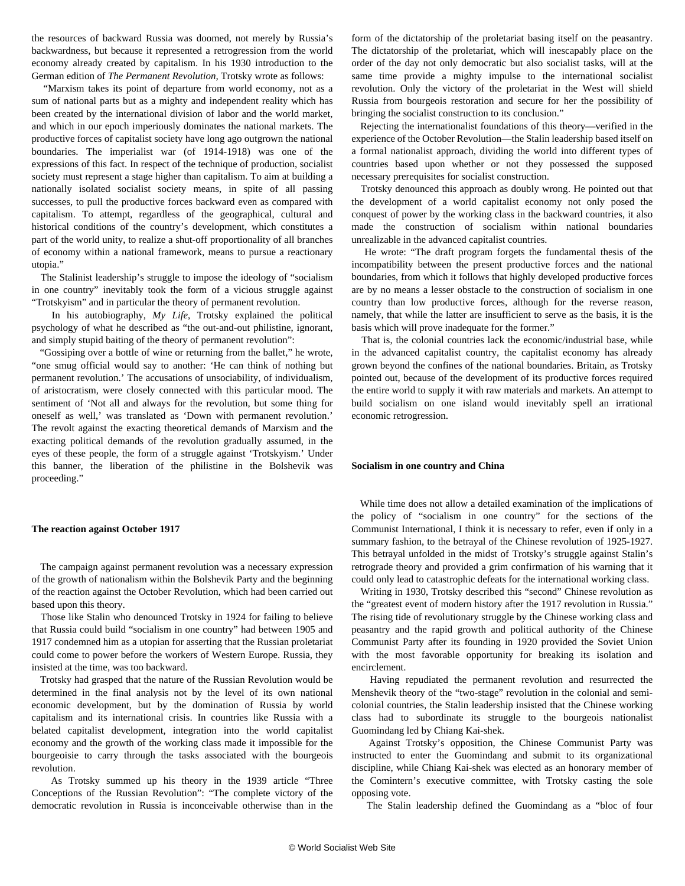the resources of backward Russia was doomed, not merely by Russia's backwardness, but because it represented a retrogression from the world economy already created by capitalism. In his 1930 introduction to the German edition of *The Permanent Revolution,* Trotsky wrote as follows:

 "Marxism takes its point of departure from world economy, not as a sum of national parts but as a mighty and independent reality which has been created by the international division of labor and the world market, and which in our epoch imperiously dominates the national markets. The productive forces of capitalist society have long ago outgrown the national boundaries. The imperialist war (of 1914-1918) was one of the expressions of this fact. In respect of the technique of production, socialist society must represent a stage higher than capitalism. To aim at building a nationally isolated socialist society means, in spite of all passing successes, to pull the productive forces backward even as compared with capitalism. To attempt, regardless of the geographical, cultural and historical conditions of the country's development, which constitutes a part of the world unity, to realize a shut-off proportionality of all branches of economy within a national framework, means to pursue a reactionary utopia."

 The Stalinist leadership's struggle to impose the ideology of "socialism in one country" inevitably took the form of a vicious struggle against "Trotskyism" and in particular the theory of permanent revolution.

 In his autobiography, *My Life*, Trotsky explained the political psychology of what he described as "the out-and-out philistine, ignorant, and simply stupid baiting of the theory of permanent revolution":

 "Gossiping over a bottle of wine or returning from the ballet," he wrote, "one smug official would say to another: 'He can think of nothing but permanent revolution.' The accusations of unsociability, of individualism, of aristocratism, were closely connected with this particular mood. The sentiment of 'Not all and always for the revolution, but some thing for oneself as well,' was translated as 'Down with permanent revolution.' The revolt against the exacting theoretical demands of Marxism and the exacting political demands of the revolution gradually assumed, in the eyes of these people, the form of a struggle against 'Trotskyism.' Under this banner, the liberation of the philistine in the Bolshevik was proceeding."

#### **The reaction against October 1917**

 The campaign against permanent revolution was a necessary expression of the growth of nationalism within the Bolshevik Party and the beginning of the reaction against the October Revolution, which had been carried out based upon this theory.

 Those like Stalin who denounced Trotsky in 1924 for failing to believe that Russia could build "socialism in one country" had between 1905 and 1917 condemned him as a utopian for asserting that the Russian proletariat could come to power before the workers of Western Europe. Russia, they insisted at the time, was too backward.

 Trotsky had grasped that the nature of the Russian Revolution would be determined in the final analysis not by the level of its own national economic development, but by the domination of Russia by world capitalism and its international crisis. In countries like Russia with a belated capitalist development, integration into the world capitalist economy and the growth of the working class made it impossible for the bourgeoisie to carry through the tasks associated with the bourgeois revolution.

 As Trotsky summed up his theory in the 1939 article "Three Conceptions of the Russian Revolution": "The complete victory of the democratic revolution in Russia is inconceivable otherwise than in the

form of the dictatorship of the proletariat basing itself on the peasantry. The dictatorship of the proletariat, which will inescapably place on the order of the day not only democratic but also socialist tasks, will at the same time provide a mighty impulse to the international socialist revolution. Only the victory of the proletariat in the West will shield Russia from bourgeois restoration and secure for her the possibility of bringing the socialist construction to its conclusion."

 Rejecting the internationalist foundations of this theory—verified in the experience of the October Revolution—the Stalin leadership based itself on a formal nationalist approach, dividing the world into different types of countries based upon whether or not they possessed the supposed necessary prerequisites for socialist construction.

 Trotsky denounced this approach as doubly wrong. He pointed out that the development of a world capitalist economy not only posed the conquest of power by the working class in the backward countries, it also made the construction of socialism within national boundaries unrealizable in the advanced capitalist countries.

 He wrote: "The draft program forgets the fundamental thesis of the incompatibility between the present productive forces and the national boundaries, from which it follows that highly developed productive forces are by no means a lesser obstacle to the construction of socialism in one country than low productive forces, although for the reverse reason, namely, that while the latter are insufficient to serve as the basis, it is the basis which will prove inadequate for the former."

 That is, the colonial countries lack the economic/industrial base, while in the advanced capitalist country, the capitalist economy has already grown beyond the confines of the national boundaries. Britain, as Trotsky pointed out, because of the development of its productive forces required the entire world to supply it with raw materials and markets. An attempt to build socialism on one island would inevitably spell an irrational economic retrogression.

### **Socialism in one country and China**

 While time does not allow a detailed examination of the implications of the policy of "socialism in one country" for the sections of the Communist International, I think it is necessary to refer, even if only in a summary fashion, to the betrayal of the Chinese revolution of 1925-1927. This betrayal unfolded in the midst of Trotsky's struggle against Stalin's retrograde theory and provided a grim confirmation of his warning that it could only lead to catastrophic defeats for the international working class.

 Writing in 1930, Trotsky described this "second" Chinese revolution as the "greatest event of modern history after the 1917 revolution in Russia." The rising tide of revolutionary struggle by the Chinese working class and peasantry and the rapid growth and political authority of the Chinese Communist Party after its founding in 1920 provided the Soviet Union with the most favorable opportunity for breaking its isolation and encirclement.

 Having repudiated the permanent revolution and resurrected the Menshevik theory of the "two-stage" revolution in the colonial and semicolonial countries, the Stalin leadership insisted that the Chinese working class had to subordinate its struggle to the bourgeois nationalist Guomindang led by Chiang Kai-shek.

 Against Trotsky's opposition, the Chinese Communist Party was instructed to enter the Guomindang and submit to its organizational discipline, while Chiang Kai-shek was elected as an honorary member of the Comintern's executive committee, with Trotsky casting the sole opposing vote.

The Stalin leadership defined the Guomindang as a "bloc of four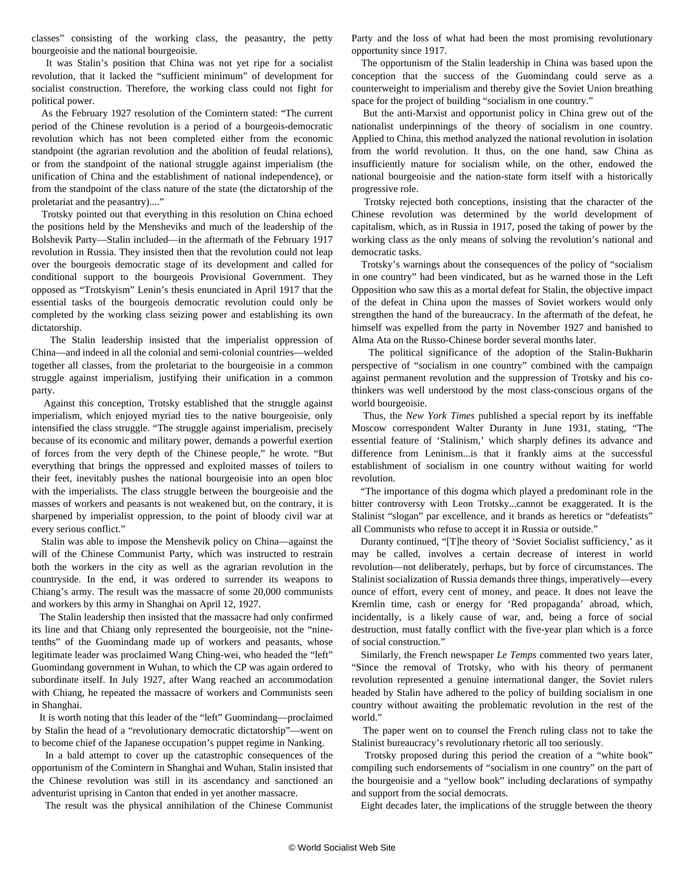classes" consisting of the working class, the peasantry, the petty bourgeoisie and the national bourgeoisie.

 It was Stalin's position that China was not yet ripe for a socialist revolution, that it lacked the "sufficient minimum" of development for socialist construction. Therefore, the working class could not fight for political power.

 As the February 1927 resolution of the Comintern stated: "The current period of the Chinese revolution is a period of a bourgeois-democratic revolution which has not been completed either from the economic standpoint (the agrarian revolution and the abolition of feudal relations), or from the standpoint of the national struggle against imperialism (the unification of China and the establishment of national independence), or from the standpoint of the class nature of the state (the dictatorship of the proletariat and the peasantry)...."

 Trotsky pointed out that everything in this resolution on China echoed the positions held by the Mensheviks and much of the leadership of the Bolshevik Party—Stalin included—in the aftermath of the February 1917 revolution in Russia. They insisted then that the revolution could not leap over the bourgeois democratic stage of its development and called for conditional support to the bourgeois Provisional Government. They opposed as "Trotskyism" Lenin's thesis enunciated in April 1917 that the essential tasks of the bourgeois democratic revolution could only be completed by the working class seizing power and establishing its own dictatorship.

 The Stalin leadership insisted that the imperialist oppression of China—and indeed in all the colonial and semi-colonial countries—welded together all classes, from the proletariat to the bourgeoisie in a common struggle against imperialism, justifying their unification in a common party.

 Against this conception, Trotsky established that the struggle against imperialism, which enjoyed myriad ties to the native bourgeoisie, only intensified the class struggle. "The struggle against imperialism, precisely because of its economic and military power, demands a powerful exertion of forces from the very depth of the Chinese people," he wrote. "But everything that brings the oppressed and exploited masses of toilers to their feet, inevitably pushes the national bourgeoisie into an open bloc with the imperialists. The class struggle between the bourgeoisie and the masses of workers and peasants is not weakened but, on the contrary, it is sharpened by imperialist oppression, to the point of bloody civil war at every serious conflict."

 Stalin was able to impose the Menshevik policy on China—against the will of the Chinese Communist Party, which was instructed to restrain both the workers in the city as well as the agrarian revolution in the countryside. In the end, it was ordered to surrender its weapons to Chiang's army. The result was the massacre of some 20,000 communists and workers by this army in Shanghai on April 12, 1927.

 The Stalin leadership then insisted that the massacre had only confirmed its line and that Chiang only represented the bourgeoisie, not the "ninetenths" of the Guomindang made up of workers and peasants, whose legitimate leader was proclaimed Wang Ching-wei, who headed the "left" Guomindang government in Wuhan, to which the CP was again ordered to subordinate itself. In July 1927, after Wang reached an accommodation with Chiang, he repeated the massacre of workers and Communists seen in Shanghai.

 It is worth noting that this leader of the "left" Guomindang—proclaimed by Stalin the head of a "revolutionary democratic dictatorship"—went on to become chief of the Japanese occupation's puppet regime in Nanking.

 In a bald attempt to cover up the catastrophic consequences of the opportunism of the Comintern in Shanghai and Wuhan, Stalin insisted that the Chinese revolution was still in its ascendancy and sanctioned an adventurist uprising in Canton that ended in yet another massacre.

The result was the physical annihilation of the Chinese Communist

Party and the loss of what had been the most promising revolutionary opportunity since 1917.

 The opportunism of the Stalin leadership in China was based upon the conception that the success of the Guomindang could serve as a counterweight to imperialism and thereby give the Soviet Union breathing space for the project of building "socialism in one country."

 But the anti-Marxist and opportunist policy in China grew out of the nationalist underpinnings of the theory of socialism in one country. Applied to China, this method analyzed the national revolution in isolation from the world revolution. It thus, on the one hand, saw China as insufficiently mature for socialism while, on the other, endowed the national bourgeoisie and the nation-state form itself with a historically progressive role.

 Trotsky rejected both conceptions, insisting that the character of the Chinese revolution was determined by the world development of capitalism, which, as in Russia in 1917, posed the taking of power by the working class as the only means of solving the revolution's national and democratic tasks.

 Trotsky's warnings about the consequences of the policy of "socialism in one country" had been vindicated, but as he warned those in the Left Opposition who saw this as a mortal defeat for Stalin, the objective impact of the defeat in China upon the masses of Soviet workers would only strengthen the hand of the bureaucracy. In the aftermath of the defeat, he himself was expelled from the party in November 1927 and banished to Alma Ata on the Russo-Chinese border several months later.

 The political significance of the adoption of the Stalin-Bukharin perspective of "socialism in one country" combined with the campaign against permanent revolution and the suppression of Trotsky and his cothinkers was well understood by the most class-conscious organs of the world bourgeoisie.

 Thus, the *New York Times* published a special report by its ineffable Moscow correspondent Walter Duranty in June 1931, stating, "The essential feature of 'Stalinism,' which sharply defines its advance and difference from Leninism...is that it frankly aims at the successful establishment of socialism in one country without waiting for world revolution.

 "The importance of this dogma which played a predominant role in the bitter controversy with Leon Trotsky...cannot be exaggerated. It is the Stalinist "slogan" par excellence, and it brands as heretics or "defeatists" all Communists who refuse to accept it in Russia or outside."

 Duranty continued, "[T]he theory of 'Soviet Socialist sufficiency,' as it may be called, involves a certain decrease of interest in world revolution—not deliberately, perhaps, but by force of circumstances. The Stalinist socialization of Russia demands three things, imperatively—every ounce of effort, every cent of money, and peace. It does not leave the Kremlin time, cash or energy for 'Red propaganda' abroad, which, incidentally, is a likely cause of war, and, being a force of social destruction, must fatally conflict with the five-year plan which is a force of social construction."

 Similarly, the French newspaper *Le Temps* commented two years later, "Since the removal of Trotsky, who with his theory of permanent revolution represented a genuine international danger, the Soviet rulers headed by Stalin have adhered to the policy of building socialism in one country without awaiting the problematic revolution in the rest of the world."

 The paper went on to counsel the French ruling class not to take the Stalinist bureaucracy's revolutionary rhetoric all too seriously.

 Trotsky proposed during this period the creation of a "white book" compiling such endorsements of "socialism in one country" on the part of the bourgeoisie and a "yellow book" including declarations of sympathy and support from the social democrats.

Eight decades later, the implications of the struggle between the theory